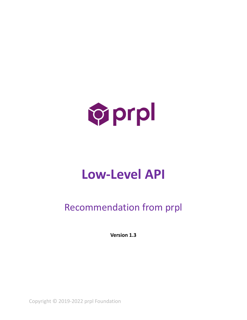

# **Low-Level API**

# Recommendation from prpl

**Version 1.3**

Copyright © 2019-2022 prpl Foundation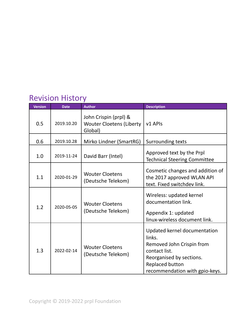# Revision History

| <b>Version</b> | <b>Date</b> | <b>Author</b>                                                       | <b>Description</b>                                                                                                                                                    |  |
|----------------|-------------|---------------------------------------------------------------------|-----------------------------------------------------------------------------------------------------------------------------------------------------------------------|--|
| 0.5            | 2019.10.20  | John Crispin (prpl) &<br><b>Wouter Cloetens (Liberty</b><br>Global) | v1 APIs                                                                                                                                                               |  |
| 0.6            | 2019.10.28  | Mirko Lindner (SmartRG)                                             | Surrounding texts                                                                                                                                                     |  |
| 1.0            | 2019-11-24  | David Barr (Intel)                                                  | Approved text by the Prpl<br><b>Technical Steering Committee</b>                                                                                                      |  |
| 1.1            | 2020-01-29  | <b>Wouter Cloetens</b><br>(Deutsche Telekom)                        | Cosmetic changes and addition of<br>the 2017 approved WLAN API<br>text. Fixed switchdev link.                                                                         |  |
| 1.2            | 2020-05-05  | <b>Wouter Cloetens</b><br>(Deutsche Telekom)                        | Wireless: updated kernel<br>documentation link.<br>Appendix 1: updated<br>linux-wireless document link.                                                               |  |
| 1.3            | 2022-02-14  | <b>Wouter Cloetens</b><br>(Deutsche Telekom)                        | Updated kernel documentation<br>links.<br>Removed John Crispin from<br>contact list.<br>Reorganised by sections.<br>Replaced button<br>recommendation with gpio-keys. |  |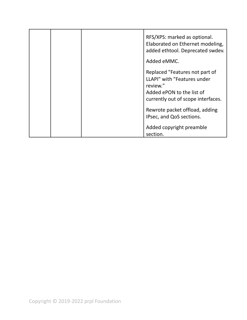|  | RFS/XPS: marked as optional.<br>Elaborated on Ethernet modeling,<br>added ethtool. Deprecated swdev.                                         |
|--|----------------------------------------------------------------------------------------------------------------------------------------------|
|  | Added eMMC.                                                                                                                                  |
|  | Replaced "Features not part of<br>LLAPI" with "Features under<br>review."<br>Added ePON to the list of<br>currently out of scope interfaces. |
|  | Rewrote packet offload, adding<br>IPsec, and QoS sections.                                                                                   |
|  | Added copyright preamble<br>section.                                                                                                         |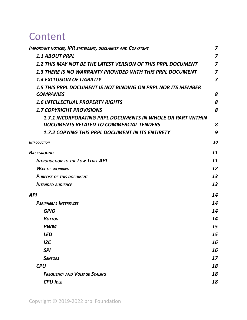# **Content**

| IMPORTANT NOTICES, IPR STATEMENT, DISCLAIMER AND COPYRIGHT       | $\overline{\mathbf{z}}$ |
|------------------------------------------------------------------|-------------------------|
| <b>1.1 ABOUT PRPL</b>                                            | $\overline{\mathbf{z}}$ |
| 1.2 THIS MAY NOT BE THE LATEST VERSION OF THIS PRPL DOCUMENT     | $\overline{z}$          |
| <b>1.3 THERE IS NO WARRANTY PROVIDED WITH THIS PRPL DOCUMENT</b> | $\overline{z}$          |
| <b>1.4 EXCLUSION OF LIABILITY</b>                                | $\overline{z}$          |
| 1.5 THIS PRPL DOCUMENT IS NOT BINDING ON PRPL NOR ITS MEMBER     |                         |
| <b>COMPANIES</b>                                                 | 8                       |
| <b>1.6 INTELLECTUAL PROPERTY RIGHTS</b>                          | 8                       |
| <b>1.7 COPYRIGHT PROVISIONS</b>                                  | 8                       |
| 1.7.1 INCORPORATING PRPL DOCUMENTS IN WHOLE OR PART WITHIN       |                         |
| DOCUMENTS RELATED TO COMMERCIAL TENDERS                          | 8                       |
| <b>1.7.2 COPYING THIS PRPL DOCUMENT IN ITS ENTIRETY</b>          | 9                       |
| Introduction                                                     | 10                      |
| Background                                                       | 11                      |
| <b>INTRODUCTION TO THE LOW-LEVEL API</b>                         | 11                      |
| <b>WAY OF WORKING</b>                                            | 12                      |
| <b>PURPOSE OF THIS DOCUMENT</b>                                  | 13                      |
| <b>INTENDED AUDIENCE</b>                                         | 13                      |
| API                                                              | 14                      |
| <b>PERIPHERAL INTERFACES</b>                                     | 14                      |
| <b>GPIO</b>                                                      | 14                      |
| <b>BUTTON</b>                                                    | 14                      |
| PWM                                                              | 15                      |
| <b>LED</b>                                                       | 15                      |
| 12C                                                              | 16                      |
| <b>SPI</b>                                                       | 16                      |
| <b>SENSORS</b>                                                   | 17                      |
| <b>CPU</b>                                                       | 18                      |
| <b>FREQUENCY AND VOLTAGE SCALING</b>                             | 18                      |
| <b>CPU IDLE</b>                                                  | 18                      |
|                                                                  |                         |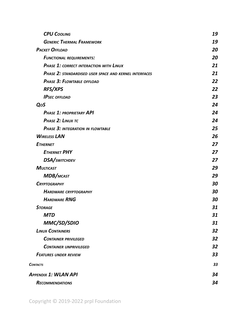| <b>CPU COOLING</b>                                     | 19 |
|--------------------------------------------------------|----|
| <b>GENERIC THERMAL FRAMEWORK</b>                       | 19 |
| <b>PACKET OFFLOAD</b>                                  | 20 |
| <b>FUNCTIONAL REQUIREMENTS:</b>                        | 20 |
| PHASE 1: CORRECT INTERACTION WITH LINUX                | 21 |
| PHASE 2: STANDARDISED USER SPACE AND KERNEL INTERFACES | 21 |
| PHASE 3: FLOWTABLE OFFLOAD                             | 22 |
| <b>RFS/XPS</b>                                         | 22 |
| <b>IPSEC OFFLOAD</b>                                   | 23 |
| QoS                                                    | 24 |
| <b>PHASE 1: PROPRIETARY API</b>                        | 24 |
| PHASE 2: LINUX TC                                      | 24 |
| <b>PHASE 3: INTEGRATION IN FLOWTABLE</b>               | 25 |
| <b>WIRELESS LAN</b>                                    | 26 |
| <b>ETHERNET</b>                                        | 27 |
| <b>ETHERNET PHY</b>                                    | 27 |
| DSA/SWITCHDEV                                          | 27 |
| <b>MULTICAST</b>                                       | 29 |
| <b>MDB/MCAST</b>                                       | 29 |
| <b>CRYPTOGRAPHY</b>                                    | 30 |
| <b>HARDWARE CRYPTOGRAPHY</b>                           | 30 |
| <b>HARDWARE RNG</b>                                    | 30 |
| <b>STORAGE</b>                                         | 31 |
| <b>MTD</b>                                             | 31 |
| MMC/SD/SDIO                                            | 31 |
| <b>LINUX CONTAINERS</b>                                | 32 |
| <b>CONTAINER PRIVILEGED</b>                            | 32 |
| <b>CONTAINER UNPRIVILEGED</b>                          | 32 |
| <b>FEATURES UNDER REVIEW</b>                           | 33 |
| <b>CONTACTS</b>                                        | 33 |
| APPENDIX 1: WLAN API                                   | 34 |
| <b>RECOMMENDATIONS</b>                                 | 34 |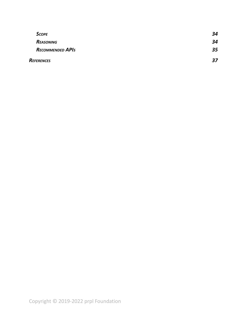| <b>SCOPE</b>            | 34 |
|-------------------------|----|
| Reasoning               | 34 |
| <b>RECOMMENDED APIS</b> | 35 |
| REFERENCES              | 27 |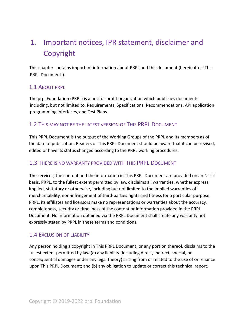# <span id="page-6-0"></span>1. Important notices, IPR statement, disclaimer and Copyright

This chapter contains important information about PRPL and this document (hereinafter 'This PRPL Document').

#### <span id="page-6-1"></span>1.1 ABOUT PRPL

The prpl Foundation (PRPL) is a not-for-profit organization which publishes documents including, but not limited to, Requirements, Specifications, Recommendations, API application programming interfaces, and Test Plans.

#### <span id="page-6-2"></span>1.2 THIS MAY NOT BE THE LATEST VERSION OF THIS PRPL DOCUMENT

This PRPL Document is the output of the Working Groups of the PRPL and its members as of the date of publication. Readers of This PRPL Document should be aware that it can be revised, edited or have its status changed according to the PRPL working procedures.

#### <span id="page-6-3"></span>1.3 THERE IS NO WARRANTY PROVIDED WITH THIS PRPL DOCUMENT

The services, the content and the information in This PRPL Document are provided on an "as is" basis. PRPL, to the fullest extent permitted by law, disclaims all warranties, whether express, implied, statutory or otherwise, including but not limited to the implied warranties of merchantability, non-infringement of third-parties rights and fitness for a particular purpose. PRPL, its affiliates and licensors make no representations or warranties about the accuracy, completeness, security or timeliness of the content or information provided in the PRPL Document. No information obtained via the PRPL Document shall create any warranty not expressly stated by PRPL in these terms and conditions.

#### <span id="page-6-4"></span>1.4 EXCLUSION OF LIABILITY

Any person holding a copyright in This PRPL Document, or any portion thereof, disclaims to the fullest extent permitted by law (a) any liability (including direct, indirect, special, or consequential damages under any legal theory) arising from or related to the use of or reliance upon This PRPL Document; and (b) any obligation to update or correct this technical report.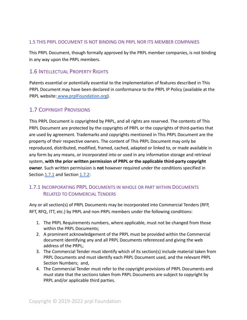#### <span id="page-7-0"></span>1.5 THIS PRPL DOCUMENT IS NOT BINDING ON PRPL NOR ITS MEMBER COMPANIES

This PRPL Document, though formally approved by the PRPL member companies, is not binding in any way upon the PRPL members.

#### <span id="page-7-1"></span>1.6 INTELLECTUAL PROPERTY RIGHTS

Patents essential or potentially essential to the implementation of features described in This PRPL Document may have been declared in conformance to the PRPL IP Policy (available at the PRPL website: [www.prplFoundation.org\)](https://prplfoundation.org/).

#### <span id="page-7-2"></span>1.7 COPYRIGHT PROVISIONS

This PRPL Document is copyrighted by PRPL, and all rights are reserved. The contents of This PRPL Document are protected by the copyrights of PRPL or the copyrights of third-parties that are used by agreement. Trademarks and copyrights mentioned in This PRPL Document are the property of their respective owners. The content of This PRPL Document may only be reproduced, distributed, modified, framed, cached, adapted or linked to, or made available in any form by any means, or incorporated into or used in any information storage and retrieval system, **with the prior written permission of PRPL or the applicable third-party copyright owner**. Such written permission is **not** however required under the conditions specified in Section [1.7.1](#page-7-3) and Section [1.7.2:](#page-8-0)

#### <span id="page-7-3"></span>1.7.1 INCORPORATING PRPL DOCUMENTS IN WHOLE OR PART WITHIN DOCUMENTS RELATED TO COMMERCIAL TENDERS

Any or all section(s) of PRPL Documents may be incorporated into Commercial Tenders (RFP, RFT, RFQ, ITT, etc.) by PRPL and non-PRPL members under the following conditions:

- 1. The PRPL Requirements numbers, where applicable, must not be changed from those within the PRPL Documents;
- 2. A prominent acknowledgement of the PRPL must be provided within the Commercial document identifying any and all PRPL Documents referenced and giving the web address of the PRPL;
- 3. The Commercial Tender must identify which of its section(s) include material taken from PRPL Documents and must identify each PRPL Document used, and the relevant PRPL Section Numbers; and,
- 4. The Commercial Tender must refer to the copyright provisions of PRPL Documents and must state that the sections taken from PRPL Documents are subject to copyright by PRPL and/or applicable third parties.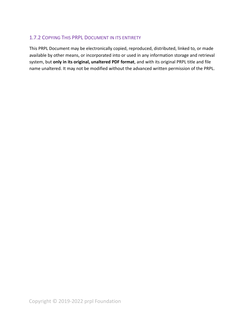#### <span id="page-8-0"></span>1.7.2 COPYING THIS PRPL DOCUMENT IN ITS ENTIRETY

This PRPL Document may be electronically copied, reproduced, distributed, linked to, or made available by other means, or incorporated into or used in any information storage and retrieval system, but **only in its original, unaltered PDF format**, and with its original PRPL title and file name unaltered. It may not be modified without the advanced written permission of the PRPL.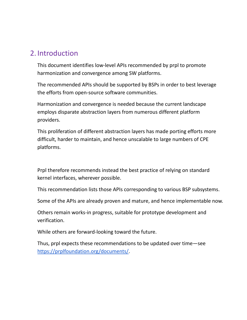# <span id="page-9-0"></span>2. Introduction

This document identifies low-level APIs recommended by prpl to promote harmonization and convergence among SW platforms.

The recommended APIs should be supported by BSPs in order to best leverage the efforts from open-source software communities.

Harmonization and convergence is needed because the current landscape employs disparate abstraction layers from numerous different platform providers.

This proliferation of different abstraction layers has made porting efforts more difficult, harder to maintain, and hence unscalable to large numbers of CPE platforms.

Prpl therefore recommends instead the best practice of relying on standard kernel interfaces, wherever possible.

This recommendation lists those APIs corresponding to various BSP subsystems.

Some of the APIs are already proven and mature, and hence implementable now.

Others remain works-in progress, suitable for prototype development and verification.

While others are forward-looking toward the future.

Thus, prpl expects these recommendations to be updated over time—see [https://prplfoundation.org/documents/.](https://prplfoundation.org/documents/)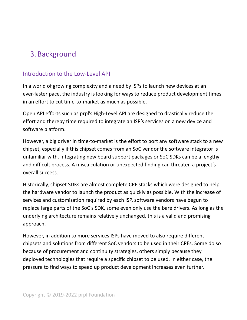# <span id="page-10-0"></span>3. Background

# <span id="page-10-1"></span>Introduction to the Low-Level API

In a world of growing complexity and a need by ISPs to launch new devices at an ever-faster pace, the industry is looking for ways to reduce product development times in an effort to cut time-to-market as much as possible.

Open API efforts such as prpl's High-Level API are designed to drastically reduce the effort and thereby time required to integrate an ISP's services on a new device and software platform.

However, a big driver in time-to-market is the effort to port any software stack to a new chipset, especially if this chipset comes from an SoC vendor the software integrator is unfamiliar with. Integrating new board support packages or SoC SDKs can be a lengthy and difficult process. A miscalculation or unexpected finding can threaten a project's overall success.

Historically, chipset SDKs are almost complete CPE stacks which were designed to help the hardware vendor to launch the product as quickly as possible. With the increase of services and customization required by each ISP, software vendors have begun to replace large parts of the SoC's SDK, some even only use the bare drivers. As long as the underlying architecture remains relatively unchanged, this is a valid and promising approach.

However, in addition to more services ISPs have moved to also require different chipsets and solutions from different SoC vendors to be used in their CPEs. Some do so because of procurement and continuity strategies, others simply because they deployed technologies that require a specific chipset to be used. In either case, the pressure to find ways to speed up product development increases even further.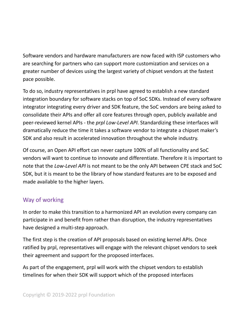Software vendors and hardware manufacturers are now faced with ISP customers who are searching for partners who can support more customization and services on a greater number of devices using the largest variety of chipset vendors at the fastest pace possible.

To do so, industry representatives in prpl have agreed to establish a new standard integration boundary for software stacks on top of SoC SDKs. Instead of every software integrator integrating every driver and SDK feature, the SoC vendors are being asked to consolidate their APIs and offer all core features through open, publicly available and peer-reviewed kernel APIs - the *prpl Low-Level API*. Standardizing these interfaces will dramatically reduce the time it takes a software vendor to integrate a chipset maker's SDK and also result in accelerated innovation throughout the whole industry.

Of course, an Open API effort can never capture 100% of all functionality and SoC vendors will want to continue to innovate and differentiate. Therefore it is important to note that the *Low-Level API* is not meant to be the only API between CPE stack and SoC SDK, but it is meant to be the library of how standard features are to be exposed and made available to the higher layers.

# <span id="page-11-0"></span>Way of working

In order to make this transition to a harmonized API an evolution every company can participate in and benefit from rather than disruption, the industry representatives have designed a multi-step approach.

The first step is the creation of API proposals based on existing kernel APIs. Once ratified by prpl, representatives will engage with the relevant chipset vendors to seek their agreement and support for the proposed interfaces.

As part of the engagement, prpl will work with the chipset vendors to establish timelines for when their SDK will support which of the proposed interfaces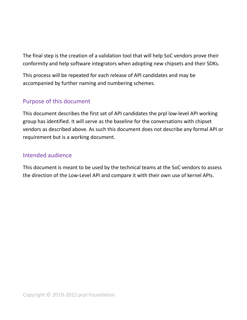The final step is the creation of a validation tool that will help SoC vendors prove their conformity and help software integrators when adopting new chipsets and their SDKs.

This process will be repeated for each release of API candidates and may be accompanied by further naming and numbering schemes.

# <span id="page-12-0"></span>Purpose of this document

This document describes the first set of API candidates the prpl low-level API working group has identified. It will serve as the baseline for the conversations with chipset vendors as described above. As such this document does not describe any formal API or requirement but is a working document.

## <span id="page-12-1"></span>Intended audience

This document is meant to be used by the technical teams at the SoC vendors to assess the direction of the Low-Level API and compare it with their own use of kernel APIs.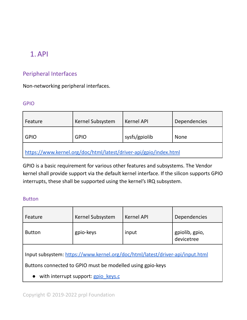# <span id="page-13-0"></span>1.API

# <span id="page-13-1"></span>Peripheral Interfaces

<span id="page-13-2"></span>Non-networking peripheral interfaces.

#### GPIO

| Feature                                                           | Kernel Subsystem | Kernel API    | Dependencies |  |  |
|-------------------------------------------------------------------|------------------|---------------|--------------|--|--|
| <b>GPIO</b>                                                       | <b>GPIO</b>      | sysfs/gpiolib | <b>None</b>  |  |  |
| https://www.kernel.org/doc/html/latest/driver-api/gpio/index.html |                  |               |              |  |  |

GPIO is a basic requirement for various other features and subsystems. The Vendor kernel shall provide support via the default kernel interface. If the silicon supports GPIO interrupts, these shall be supported using the kernel's IRQ subsystem.

#### <span id="page-13-3"></span>Button

| Feature                                                                                                                                     | Kernel Subsystem | <b>Kernel API</b> | Dependencies                 |  |  |
|---------------------------------------------------------------------------------------------------------------------------------------------|------------------|-------------------|------------------------------|--|--|
| <b>Button</b>                                                                                                                               | gpio-keys        | input             | gpiolib, gpio,<br>devicetree |  |  |
| Input subsystem: https://www.kernel.org/doc/html/latest/driver-api/input.html<br>Buttons connected to GPIO must be modelled using gpio-keys |                  |                   |                              |  |  |
| with interrupt support: gpio keys.c                                                                                                         |                  |                   |                              |  |  |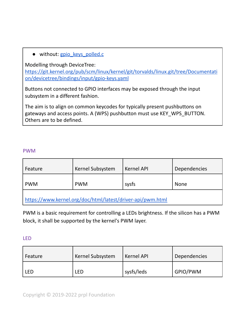• without: [gpio\\_keys\\_polled.c](https://git.kernel.org/pub/scm/linux/kernel/git/torvalds/linux.git/tree/drivers/input/keyboard/gpio_keys_polled.c)

Modelling through DeviceTree:

[https://git.kernel.org/pub/scm/linux/kernel/git/torvalds/linux.git/tree/Documentati](https://git.kernel.org/pub/scm/linux/kernel/git/torvalds/linux.git/tree/Documentation/devicetree/bindings/input/gpio-keys.yaml) [on/devicetree/bindings/input/gpio-keys.yaml](https://git.kernel.org/pub/scm/linux/kernel/git/torvalds/linux.git/tree/Documentation/devicetree/bindings/input/gpio-keys.yaml)

Buttons not connected to GPIO interfaces may be exposed through the input subsystem in a different fashion.

The aim is to align on common keycodes for typically present pushbuttons on gateways and access points. A (WPS) pushbutton must use KEY\_WPS\_BUTTON. Others are to be defined.

#### <span id="page-14-0"></span>PWM

| Feature                                                    | Kernel Subsystem | <b>Kernel API</b> | <b>Dependencies</b> |  |  |
|------------------------------------------------------------|------------------|-------------------|---------------------|--|--|
| <b>PWM</b>                                                 | <b>PWM</b>       | sysfs             | <b>None</b>         |  |  |
| https://www.kernel.org/doc/html/latest/driver-api/pwm.html |                  |                   |                     |  |  |

PWM is a basic requirement for controlling a LEDs brightness. If the silicon has a PWM block, it shall be supported by the kernel's PWM layer.

#### <span id="page-14-1"></span>LED

| Feature | Kernel Subsystem | Kernel API | Dependencies |
|---------|------------------|------------|--------------|
| LED     | LED              | sysfs/leds | GPIO/PWM     |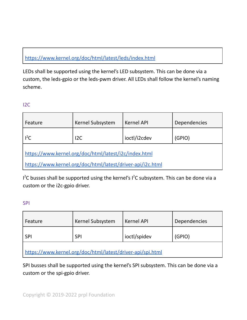# <https://www.kernel.org/doc/html/latest/leds/index.html>

LEDs shall be supported using the kernel's LED subsystem. This can be done via a custom, the leds-gpio or the leds-pwm driver. All LEDs shall follow the kernel's naming scheme.

#### <span id="page-15-0"></span>I2C

| Feature                                                    | Kernel Subsystem | <b>Kernel API</b> | Dependencies |  |  |
|------------------------------------------------------------|------------------|-------------------|--------------|--|--|
| $I^2C$                                                     | 12C              | ioctl/i2cdev      | (GPIO)       |  |  |
| https://www.kernel.org/doc/html/latest/i2c/index.html      |                  |                   |              |  |  |
| https://www.kernel.org/doc/html/latest/driver-api/i2c.html |                  |                   |              |  |  |

 $I<sup>2</sup>C$  busses shall be supported using the kernel's  $I<sup>2</sup>C$  subsystem. This can be done via a custom or the i2c-gpio driver.

#### <span id="page-15-1"></span>SPI

| Feature                                                    | Kernel Subsystem | <b>Kernel API</b> | Dependencies |  |  |
|------------------------------------------------------------|------------------|-------------------|--------------|--|--|
| <b>SPI</b>                                                 | <b>SPI</b>       | ioctl/spidev      | (GPIO)       |  |  |
| https://www.kernel.org/doc/html/latest/driver-api/spi.html |                  |                   |              |  |  |

SPI busses shall be supported using the kernel's SPI subsystem. This can be done via a custom or the spi-gpio driver.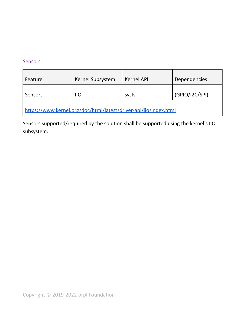#### <span id="page-16-0"></span>Sensors

| Feature                                                          | Kernel Subsystem | Kernel API | Dependencies   |  |  |
|------------------------------------------------------------------|------------------|------------|----------------|--|--|
| Sensors                                                          | $110$            | sysfs      | (GPIO/I2C/SPI) |  |  |
| https://www.kernel.org/doc/html/latest/driver-api/iio/index.html |                  |            |                |  |  |

Sensors supported/required by the solution shall be supported using the kernel's IIO subsystem.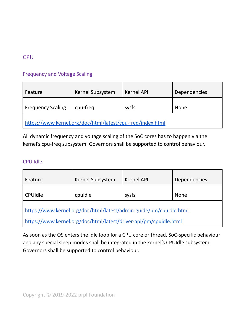# <span id="page-17-0"></span>**CPU**

## <span id="page-17-1"></span>Frequency and Voltage Scaling

| Feature                                                    | Kernel Subsystem | <b>Kernel API</b> | Dependencies |  |
|------------------------------------------------------------|------------------|-------------------|--------------|--|
| <b>Frequency Scaling</b>                                   | cpu-freq         | sysfs             | <b>None</b>  |  |
| https://www.kernel.org/doc/html/latest/cpu-freq/index.html |                  |                   |              |  |

All dynamic frequency and voltage scaling of the SoC cores has to happen via the kernel's cpu-freq subsystem. Governors shall be supported to control behaviour.

#### <span id="page-17-2"></span>CPU Idle

| Feature                                                            | Kernel Subsystem | <b>Kernel API</b> | Dependencies |  |
|--------------------------------------------------------------------|------------------|-------------------|--------------|--|
| <b>CPUIdle</b>                                                     | cpuidle          | sysfs             | <b>None</b>  |  |
| https://www.kernel.org/doc/html/latest/admin-guide/pm/cpuidle.html |                  |                   |              |  |
| https://www.kernel.org/doc/html/latest/driver-api/pm/cpuidle.html  |                  |                   |              |  |

As soon as the OS enters the idle loop for a CPU core or thread, SoC-specific behaviour and any special sleep modes shall be integrated in the kernel's CPUIdle subsystem. Governors shall be supported to control behaviour.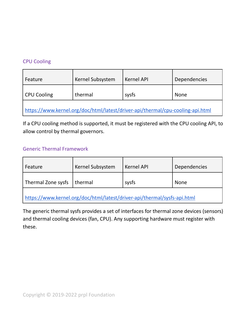#### <span id="page-18-0"></span>CPU Cooling

| Feature                                                                        | Kernel Subsystem | <b>Kernel API</b> | <b>Dependencies</b> |  |
|--------------------------------------------------------------------------------|------------------|-------------------|---------------------|--|
| CPU Cooling                                                                    | thermal          | sysfs             | <b>None</b>         |  |
| https://www.kernel.org/doc/html/latest/driver-api/thermal/cpu-cooling-api.html |                  |                   |                     |  |

If a CPU cooling method is supported, it must be registered with the CPU cooling API, to allow control by thermal governors.

#### <span id="page-18-1"></span>Generic Thermal Framework

| Feature                      | Kernel Subsystem | <b>Kernel API</b> | <b>Dependencies</b> |
|------------------------------|------------------|-------------------|---------------------|
| Thermal Zone sysfs   thermal |                  | sysfs             | <b>None</b>         |
|                              |                  |                   |                     |

<https://www.kernel.org/doc/html/latest/driver-api/thermal/sysfs-api.html>

The generic thermal sysfs provides a set of interfaces for thermal zone devices (sensors) and thermal cooling devices (fan, CPU). Any supporting hardware must register with these.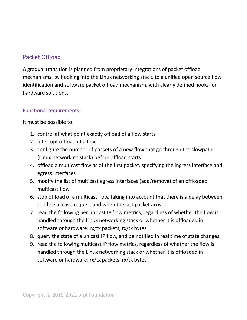# <span id="page-19-0"></span>Packet Offload

A gradual transition is planned from proprietary integrations of packet offload mechanisms, by hooking into the Linux networking stack, to a unified open source flow identification and software packet offload mechanism, with clearly defined hooks for hardware solutions.

#### <span id="page-19-1"></span>Functional requirements:

It must be possible to:

- 1. control at what point exactly offload of a flow starts
- 2. interrupt offload of a flow
- 3. configure the number of packets of a new flow that go through the slowpath (Linux networking stack) before offload starts
- 4. offload a multicast flow as of the first packet, specifying the ingress interface and egress interfaces
- 5. modify the list of multicast egress interfaces (add/remove) of an offloaded multicast flow
- 6. stop offload of a multicast flow, taking into account that there is a delay between sending a leave request and when the last packet arrives
- 7. read the following per unicast IP flow metrics, regardless of whether the flow is handled through the Linux networking stack or whether it is offloaded in software or hardware: rx/tx packets, rx/tx bytes
- 8. query the state of a unicast IP flow, and be notified in real time of state changes
- 9. read the following multicast IP flow metrics, regardless of whether the flow is handled through the Linux networking stack or whether it is offloaded in software or hardware: rx/tx packets, rx/tx bytes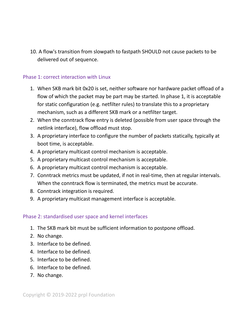10. A flow's transition from slowpath to fastpath SHOULD not cause packets to be delivered out of sequence.

#### <span id="page-20-0"></span>Phase 1: correct interaction with Linux

- 1. When SKB mark bit 0x20 is set, neither software nor hardware packet offload of a flow of which the packet may be part may be started. In phase 1, it is acceptable for static configuration (e.g. netfilter rules) to translate this to a proprietary mechanism, such as a different SKB mark or a netfilter target.
- 2. When the conntrack flow entry is deleted (possible from user space through the netlink interface), flow offload must stop.
- 3. A proprietary interface to configure the number of packets statically, typically at boot time, is acceptable.
- 4. A proprietary multicast control mechanism is acceptable.
- 5. A proprietary multicast control mechanism is acceptable.
- 6. A proprietary multicast control mechanism is acceptable.
- 7. Conntrack metrics must be updated, if not in real-time, then at regular intervals. When the conntrack flow is terminated, the metrics must be accurate.
- 8. Conntrack integration is required.
- <span id="page-20-1"></span>9. A proprietary multicast management interface is acceptable.

#### Phase 2: standardised user space and kernel interfaces

- 1. The SKB mark bit must be sufficient information to postpone offload.
- 2. No change.
- 3. Interface to be defined.
- 4. Interface to be defined.
- 5. Interface to be defined.
- 6. Interface to be defined.
- 7. No change.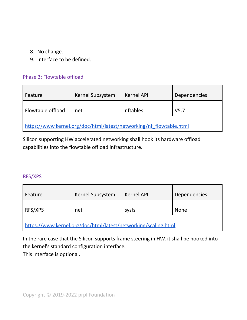- 8. No change.
- 9. Interface to be defined.

#### <span id="page-21-0"></span>Phase 3: Flowtable offload

| Feature                                                             | <b>Kernel Subsystem</b> | <b>Kernel API</b> | Dependencies     |  |
|---------------------------------------------------------------------|-------------------------|-------------------|------------------|--|
| Flowtable offload                                                   | net                     | nftables          | V <sub>5.7</sub> |  |
| https://www.kernel.org/doc/html/latest/networking/nf_flowtable.html |                         |                   |                  |  |

Silicon supporting HW accelerated networking shall hook its hardware offload capabilities into the flowtable offload infrastructure.

#### <span id="page-21-1"></span>RFS/XPS

| Feature | Kernel Subsystem | <b>Kernel API</b> | Dependencies |
|---------|------------------|-------------------|--------------|
| RFS/XPS | net              | sysfs             | <b>None</b>  |
| . .     |                  |                   |              |

<https://www.kernel.org/doc/html/latest/networking/scaling.html>

In the rare case that the Silicon supports frame steering in HW, it shall be hooked into the kernel's standard configuration interface.

This interface is optional.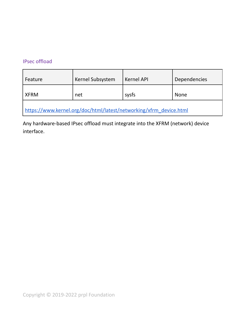## <span id="page-22-0"></span>IPsec offload

| Feature                                                            | Kernel Subsystem | <b>Kernel API</b> | <b>Dependencies</b> |  |
|--------------------------------------------------------------------|------------------|-------------------|---------------------|--|
| <b>XFRM</b>                                                        | net              | sysfs             | <b>None</b>         |  |
| https://www.kernel.org/doc/html/latest/networking/xfrm_device.html |                  |                   |                     |  |

Any hardware-based IPsec offload must integrate into the XFRM (network) device interface.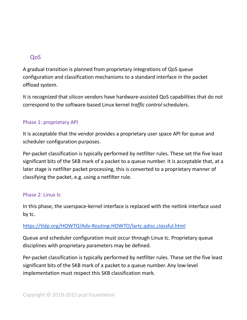## <span id="page-23-0"></span>QoS

A gradual transition is planned from proprietary integrations of QoS queue configuration and classification mechanisms to a standard interface in the packet offload system.

It is recognized that silicon vendors have hardware-assisted QoS capabilities that do not correspond to the software-based Linux kernel *traffic control* schedulers.

#### <span id="page-23-1"></span>Phase 1: proprietary API

It is acceptable that the vendor provides a proprietary user space API for queue and scheduler configuration purposes.

Per-packet classification is typically performed by netfilter rules. These set the five least significant bits of the SKB mark of a packet to a queue number. It is acceptable that, at a later stage is netfilter packet processing, this is converted to a proprietary manner of classifying the packet, e.g. using a netfilter rule.

#### <span id="page-23-2"></span>Phase 2: Linux tc

In this phase, the userspace-kernel interface is replaced with the netlink interface used by tc.

#### <https://tldp.org/HOWTO/Adv-Routing-HOWTO/lartc.qdisc.classful.html>

Queue and scheduler configuration must occur through Linux tc. Proprietary queue disciplines with proprietary parameters may be defined.

Per-packet classification is typically performed by netfilter rules. These set the five least significant bits of the SKB mark of a packet to a queue number. Any low-level implementation must respect this SKB classification mark.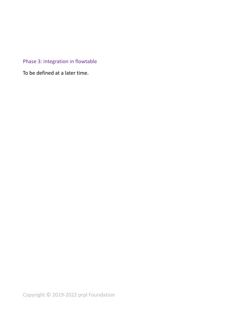# <span id="page-24-0"></span>Phase 3: integration in flowtable

To be defined at a later time.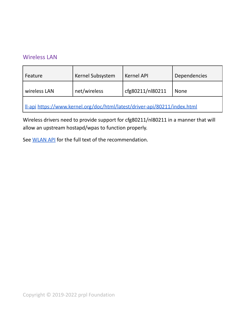## <span id="page-25-0"></span>Wireless LAN

| Feature                                                                          | Kernel Subsystem | <b>Kernel API</b> | Dependencies |  |
|----------------------------------------------------------------------------------|------------------|-------------------|--------------|--|
| wireless LAN                                                                     | net/wireless     | cfg80211/nl80211  | <b>None</b>  |  |
| <u>II-api https://www.kernel.org/doc/html/latest/driver-api/80211/index.html</u> |                  |                   |              |  |

Wireless drivers need to provide support for cfg80211/nl80211 in a manner that will allow an upstream hostapd/wpas to function properly.

See [WLAN](#page-33-0) API for the full text of the recommendation.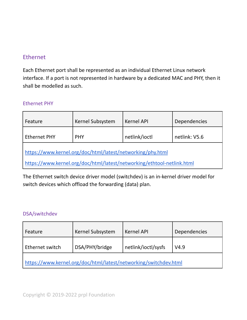# <span id="page-26-0"></span>Ethernet

Each Ethernet port shall be represented as an individual Ethernet Linux network interface. If a port is not represented in hardware by a dedicated MAC and PHY, then it shall be modelled as such.

#### <span id="page-26-1"></span>Ethernet PHY

| Feature                                                                | <b>Kernel Subsystem</b> | <b>Kernel API</b> | Dependencies  |  |
|------------------------------------------------------------------------|-------------------------|-------------------|---------------|--|
| <b>Ethernet PHY</b>                                                    | <b>PHY</b>              | netlink/ioctl     | netlink: V5.6 |  |
| https://www.kernel.org/doc/html/latest/networking/phy.html             |                         |                   |               |  |
| https://www.kernel.org/doc/html/latest/networking/ethtool-netlink.html |                         |                   |               |  |

The Ethernet switch device driver model (switchdev) is an in-kernel driver model for switch devices which offload the forwarding (data) plan.

#### <span id="page-26-2"></span>DSA/switchdev

| Feature                                                          | Kernel Subsystem | <b>Kernel API</b>   | Dependencies |  |
|------------------------------------------------------------------|------------------|---------------------|--------------|--|
| Ethernet switch                                                  | DSA/PHY/bridge   | netlink/ioctl/sysfs | V4.9         |  |
| https://www.kernel.org/doc/html/latest/networking/switchdev.html |                  |                     |              |  |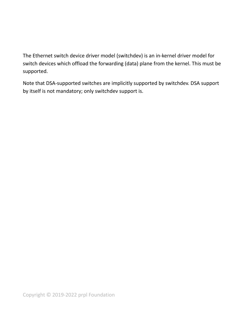The Ethernet switch device driver model (switchdev) is an in-kernel driver model for switch devices which offload the forwarding (data) plane from the kernel. This must be supported.

Note that DSA-supported switches are implicitly supported by switchdev. DSA support by itself is not mandatory; only switchdev support is.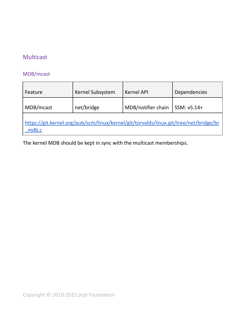# <span id="page-28-0"></span>Multicast

# <span id="page-28-1"></span>MDB/mcast

| Feature                                                                                        | Kernel Subsystem | <b>Kernel API</b>  | Dependencies |  |
|------------------------------------------------------------------------------------------------|------------------|--------------------|--------------|--|
| MDB/mcast                                                                                      | net/bridge       | MDB/notifier chain | SSM: v5.14+  |  |
| https://git.kernel.org/pub/scm/linux/kernel/git/torvalds/linux.git/tree/net/bridge/br<br>mdb.c |                  |                    |              |  |

The kernel MDB should be kept in sync with the multicast memberships.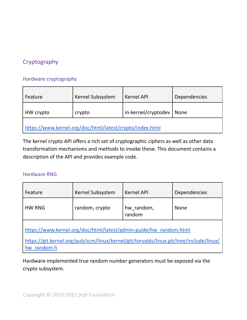# <span id="page-29-0"></span>**Cryptography**

#### <span id="page-29-1"></span>Hardware cryptography

| Feature                                                  | Kernel Subsystem | <b>Kernel API</b>   | Dependencies |  |
|----------------------------------------------------------|------------------|---------------------|--------------|--|
| HW crypto                                                | crypto           | in-kernel/cryptodev | None         |  |
| https://www.kernel.org/doc/html/latest/crypto/index.html |                  |                     |              |  |

The kernel crypto API offers a rich set of cryptographic ciphers as well as other data transformation mechanisms and methods to invoke these. This document contains a description of the API and provides example code.

#### <span id="page-29-2"></span>Hardware RNG

| Feature                                                                                                                                                     | Kernel Subsystem | <b>Kernel API</b>    | Dependencies |
|-------------------------------------------------------------------------------------------------------------------------------------------------------------|------------------|----------------------|--------------|
| <b>HW RNG</b>                                                                                                                                               | random, crypto   | hw_random,<br>random | <b>None</b>  |
| https://www.kernel.org/doc/html/latest/admin-guide/hw random.html<br>https://git.kernel.org/pub/scm/linux/kernel/git/torvalds/linux.git/tree/include/linux/ |                  |                      |              |
| random.h<br>hw                                                                                                                                              |                  |                      |              |

Hardware-implemented true random number generators must be exposed via the crypto subsystem.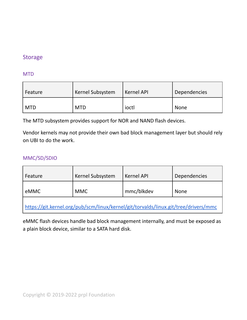# <span id="page-30-0"></span>Storage

#### <span id="page-30-1"></span>MTD

| Feature    | Kernel Subsystem | <b>Kernel API</b> | <b>Dependencies</b> |
|------------|------------------|-------------------|---------------------|
| <b>MTD</b> | <b>MTD</b>       | ioctl             | None                |

The MTD subsystem provides support for NOR and NAND flash devices.

Vendor kernels may not provide their own bad block management layer but should rely on UBI to do the work.

#### <span id="page-30-2"></span>MMC/SD/SDIO

| Feature                                                                             | Kernel Subsystem | <b>Kernel API</b> | Dependencies |
|-------------------------------------------------------------------------------------|------------------|-------------------|--------------|
| eMMC                                                                                | <b>MMC</b>       | mmc/blkdev        | <b>None</b>  |
| https://git.kernel.org/pub/scm/linux/kernel/git/torvalds/linux.git/tree/drivers/mmc |                  |                   |              |

eMMC flash devices handle bad block management internally, and must be exposed as a plain block device, similar to a SATA hard disk.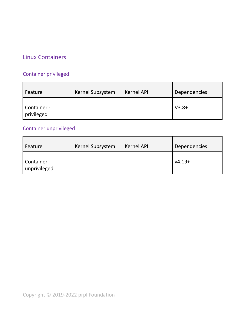# <span id="page-31-0"></span>Linux Containers

# <span id="page-31-1"></span>Container privileged

| Feature                   | Kernel Subsystem | <b>Kernel API</b> | <b>Dependencies</b> |
|---------------------------|------------------|-------------------|---------------------|
| Container -<br>privileged |                  |                   | $V3.8+$             |

# <span id="page-31-2"></span>Container unprivileged

| Feature                     | Kernel Subsystem | <b>Kernel API</b> | Dependencies |
|-----------------------------|------------------|-------------------|--------------|
| Container -<br>unprivileged |                  |                   | $v4.19+$     |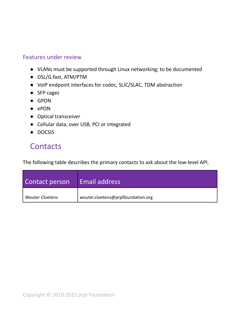## <span id="page-32-0"></span>Features under review

- VLANs must be supported through Linux networking; to be documented
- DSL/G.fast, ATM/PTM
- VoIP endpoint interfaces for codec, SLIC/SLAC, TDM abstraction
- SFP cages
- GPON
- ePON
- Optical transceiver
- Cellular data, over USB, PCI or integrated
- DOCSIS

# <span id="page-32-1"></span>**Contacts**

The following table describes the primary contacts to ask about the low-level API.

| Contact person         | Email address                      |
|------------------------|------------------------------------|
| <b>Wouter Cloetens</b> | wouter.cloetens@prplfoundation.org |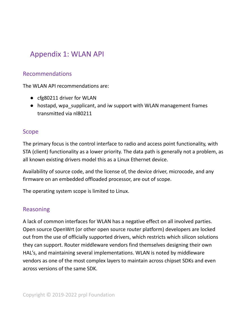# <span id="page-33-0"></span>Appendix 1: WLAN API

# <span id="page-33-1"></span>Recommendations

The WLAN API recommendations are:

- cfg80211 driver for WLAN
- hostapd, wpa supplicant, and iw support with WLAN management frames transmitted via nl80211

## <span id="page-33-2"></span>Scope

The primary focus is the control interface to radio and access point functionality, with STA (client) functionality as a lower priority. The data path is generally not a problem, as all known existing drivers model this as a Linux Ethernet device.

Availability of source code, and the license of, the device driver, microcode, and any firmware on an embedded offloaded processor, are out of scope.

<span id="page-33-3"></span>The operating system scope is limited to Linux.

# Reasoning

A lack of common interfaces for WLAN has a negative effect on all involved parties. Open source OpenWrt (or other open source router platform) developers are locked out from the use of officially supported drivers, which restricts which silicon solutions they can support. Router middleware vendors find themselves designing their own HAL's, and maintaining several implementations. WLAN is noted by middleware vendors as one of the most complex layers to maintain across chipset SDKs and even across versions of the same SDK.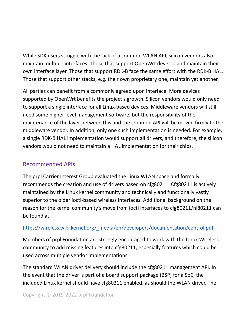While SDK users struggle with the lack of a common WLAN API, silicon vendors also maintain multiple interfaces. Those that support OpenWrt develop and maintain their own interface layer. Those that support RDK-B face the same effort with the RDK-B HAL. Those that support other stacks, e.g. their own proprietary one, maintain yet another.

All parties can benefit from a commonly agreed upon interface. More devices supported by OpenWrt benefits the project's growth. Silicon vendors would only need to support a single interface for all Linux-based devices. Middleware vendors will still need some higher level management software, but the responsibility of the maintenance of the layer between this and the common API will be moved firmly to the middleware vendor. In addition, only one such implementation is needed. For example, a single RDK-B HAL implementation would support all drivers, and therefore, the silicon vendors would not need to maintain a HAL implementation for their chips.

# <span id="page-34-0"></span>Recommended APIs

The prpl Carrier Interest Group evaluated the Linux WLAN space and formally recommends the creation and use of drivers based on cfg80211. Cfg80211 is actively maintained by the Linux kernel community and technically and functionally vastly superior to the older ioctl-based wireless interfaces. Additional background on the reason for the kernel community's move from ioctl interfaces to cfg80211/nl80211 can be found at:

## [https://wireless.wiki.kernel.org/\\_media/en/developers/documentation/control.pdf](https://wireless.wiki.kernel.org/_media/en/developers/documentation/control.pdf).

Members of prpl Foundation are strongly encouraged to work with the Linux Wireless community to add missing features into cfg80211, especially features which could be used across multiple vendor implementations.

The standard WLAN driver delivery should include the cfg80211 management API. In the event that the driver is part of a board support package (BSP) for a SoC, the included Linux kernel should have cfg80211 enabled, as should the WLAN driver. The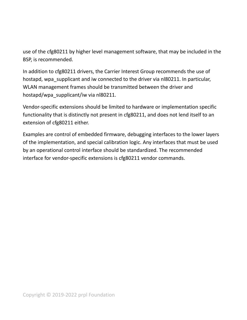use of the cfg80211 by higher level management software, that may be included in the BSP, is recommended.

In addition to cfg80211 drivers, the Carrier Interest Group recommends the use of hostapd, wpa supplicant and iw connected to the driver via nl80211. In particular, WLAN management frames should be transmitted between the driver and hostapd/wpa\_supplicant/iw via nl80211.

Vendor-specific extensions should be limited to hardware or implementation specific functionality that is distinctly not present in cfg80211, and does not lend itself to an extension of cfg80211 either.

Examples are control of embedded firmware, debugging interfaces to the lower layers of the implementation, and special calibration logic. Any interfaces that must be used by an operational control interface should be standardized. The recommended interface for vendor-specific extensions is cfg80211 vendor commands.